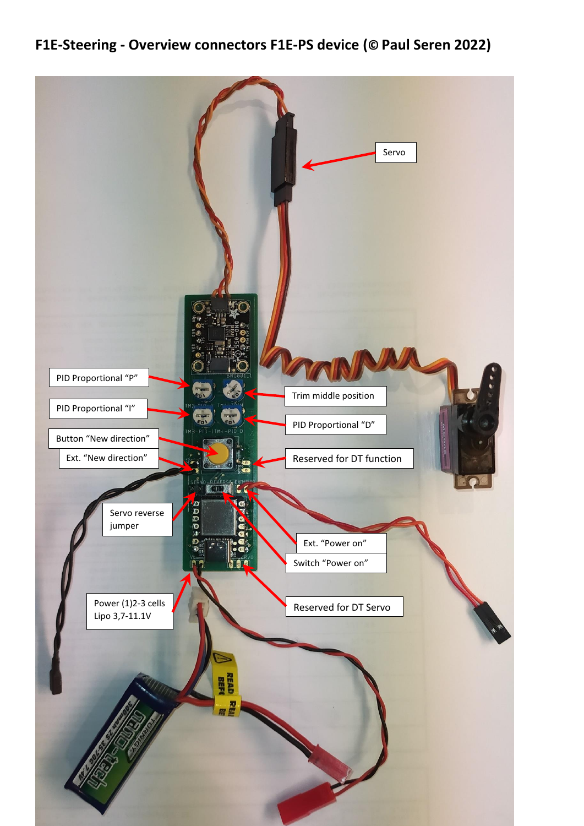**F1E-Steering - Overview connectors F1E-PS device (© Paul Seren 2022)**

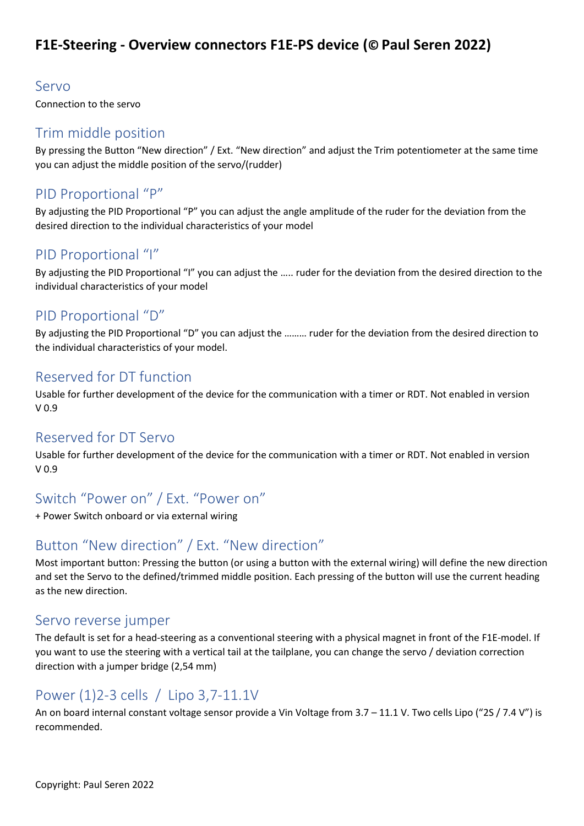# **F1E-Steering - Overview connectors F1E-PS device (© Paul Seren 2022)**

#### Servo

Connection to the servo

#### Trim middle position

By pressing the Button "New direction" / Ext. "New direction" and adjust the Trim potentiometer at the same time you can adjust the middle position of the servo/(rudder)

## PID Proportional "P"

By adjusting the PID Proportional "P" you can adjust the angle amplitude of the ruder for the deviation from the desired direction to the individual characteristics of your model

#### PID Proportional "I"

By adjusting the PID Proportional "I" you can adjust the ….. ruder for the deviation from the desired direction to the individual characteristics of your model

## PID Proportional "D"

By adjusting the PID Proportional "D" you can adjust the ……… ruder for the deviation from the desired direction to the individual characteristics of your model.

#### Reserved for DT function

Usable for further development of the device for the communication with a timer or RDT. Not enabled in version V 0.9

### Reserved for DT Servo

Usable for further development of the device for the communication with a timer or RDT. Not enabled in version V 0.9

# Switch "Power on" / Ext. "Power on"

+ Power Switch onboard or via external wiring

# Button "New direction" / Ext. "New direction"

Most important button: Pressing the button (or using a button with the external wiring) will define the new direction and set the Servo to the defined/trimmed middle position. Each pressing of the button will use the current heading as the new direction.

#### Servo reverse jumper

The default is set for a head-steering as a conventional steering with a physical magnet in front of the F1E-model. If you want to use the steering with a vertical tail at the tailplane, you can change the servo / deviation correction direction with a jumper bridge (2,54 mm)

# Power (1)2-3 cells / Lipo 3,7-11.1V

An on board internal constant voltage sensor provide a Vin Voltage from 3.7 - 11.1 V. Two cells Lipo ("2S / 7.4 V") is recommended.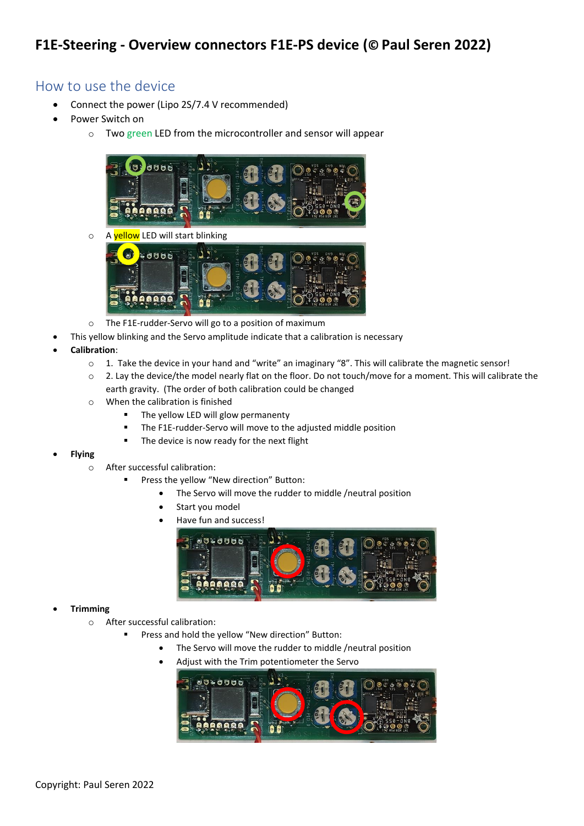### How to use the device

- Connect the power (Lipo 2S/7.4 V recommended)
- Power Switch on
	- o Two green LED from the microcontroller and sensor will appear



o A yellow LED will start blinking



- o The F1E-rudder-Servo will go to a position of maximum
- This yellow blinking and the Servo amplitude indicate that a calibration is necessary
- **Calibration**:
	- $\circ$  1. Take the device in your hand and "write" an imaginary "8". This will calibrate the magnetic sensor!
	- o 2. Lay the device/the model nearly flat on the floor. Do not touch/move for a moment. This will calibrate the earth gravity. (The order of both calibration could be changed
	- o When the calibration is finished
		- The yellow LED will glow permanenty
		- The F1E-rudder-Servo will move to the adjusted middle position
		- The device is now ready for the next flight
- **Flying** 
	- o After successful calibration:
		- Press the yellow "New direction" Button:
			- The Servo will move the rudder to middle /neutral position
			- Start vou model
			- Have fun and success!



#### • **Trimming**

- o After successful calibration:
	- Press and hold the yellow "New direction" Button:
		- The Servo will move the rudder to middle /neutral position
		- Adjust with the Trim potentiometer the Servo